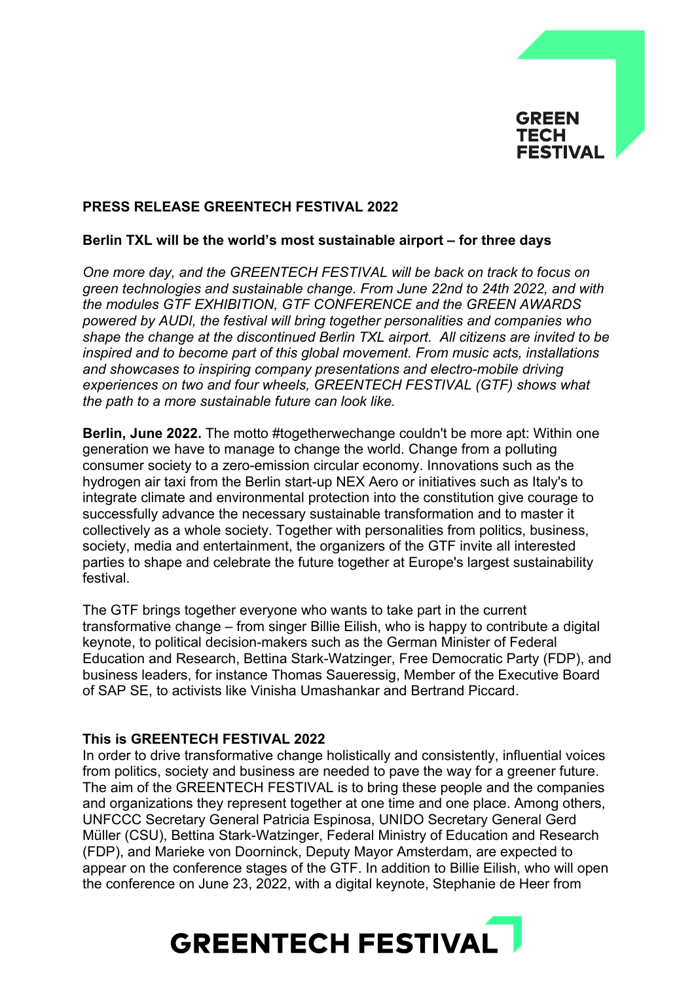

# **PRESS RELEASE GREENTECH FESTIVAL 2022**

## **Berlin TXL will be the world's most sustainable airport – for three days**

*One more day, and the GREENTECH FESTIVAL will be back on track to focus on green technologies and sustainable change. From June 22nd to 24th 2022, and with the modules GTF EXHIBITION, GTF CONFERENCE and the GREEN AWARDS powered by AUDI, the festival will bring together personalities and companies who shape the change at the discontinued Berlin TXL airport. All citizens are invited to be inspired and to become part of this global movement. From music acts, installations and showcases to inspiring company presentations and electro-mobile driving experiences on two and four wheels, GREENTECH FESTIVAL (GTF) shows what the path to a more sustainable future can look like.*

**Berlin, June 2022.** The motto #togetherwechange couldn't be more apt: Within one generation we have to manage to change the world. Change from a polluting consumer society to a zero-emission circular economy. Innovations such as the hydrogen air taxi from the Berlin start-up NEX Aero or initiatives such as Italy's to integrate climate and environmental protection into the constitution give courage to successfully advance the necessary sustainable transformation and to master it collectively as a whole society. Together with personalities from politics, business, society, media and entertainment, the organizers of the GTF invite all interested parties to shape and celebrate the future together at Europe's largest sustainability festival.

The GTF brings together everyone who wants to take part in the current transformative change – from singer Billie Eilish, who is happy to contribute a digital keynote, to political decision-makers such as the German Minister of Federal Education and Research, Bettina Stark-Watzinger, Free Democratic Party (FDP), and business leaders, for instance Thomas Saueressig, Member of the Executive Board of SAP SE, to activists like Vinisha Umashankar and Bertrand Piccard.

#### **This is GREENTECH FESTIVAL 2022**

In order to drive transformative change holistically and consistently, influential voices from politics, society and business are needed to pave the way for a greener future. The aim of the GREENTECH FESTIVAL is to bring these people and the companies and organizations they represent together at one time and one place. Among others, UNFCCC Secretary General Patricia Espinosa, UNIDO Secretary General Gerd Müller (CSU), Bettina Stark-Watzinger, Federal Ministry of Education and Research (FDP), and Marieke von Doorninck, Deputy Mayor Amsterdam, are expected to appear on the conference stages of the GTF. In addition to Billie Eilish, who will open the conference on June 23, 2022, with a digital keynote, Stephanie de Heer from

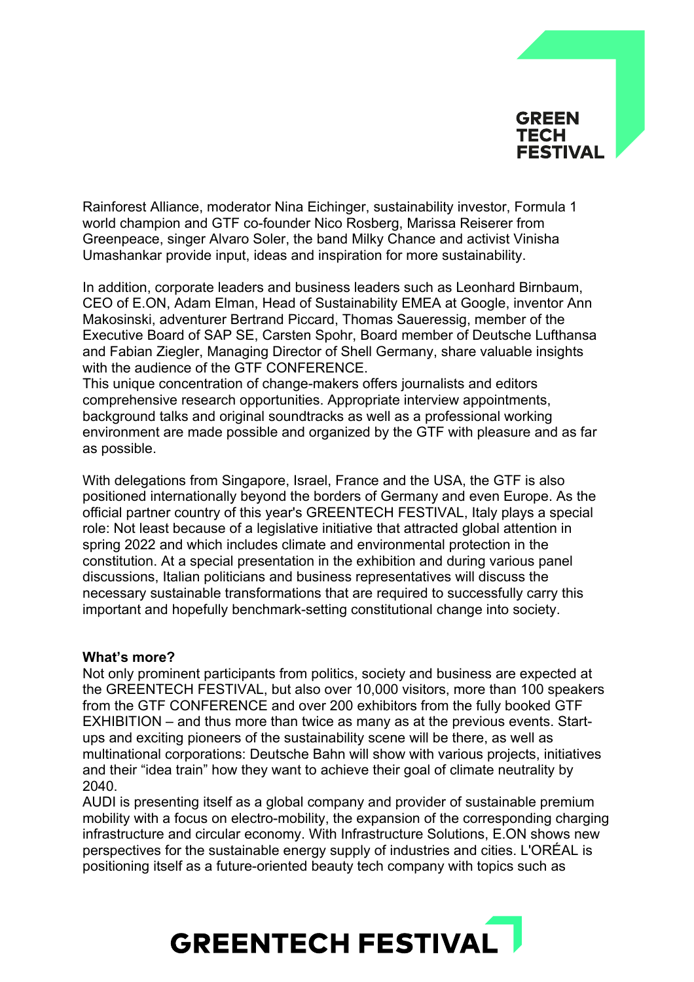

Rainforest Alliance, moderator Nina Eichinger, sustainability investor, Formula 1 world champion and GTF co-founder Nico Rosberg, Marissa Reiserer from Greenpeace, singer Alvaro Soler, the band Milky Chance and activist Vinisha Umashankar provide input, ideas and inspiration for more sustainability.

In addition, corporate leaders and business leaders such as Leonhard Birnbaum, CEO of E.ON, Adam Elman, Head of Sustainability EMEA at Google, inventor Ann Makosinski, adventurer Bertrand Piccard, Thomas Saueressig, member of the Executive Board of SAP SE, Carsten Spohr, Board member of Deutsche Lufthansa and Fabian Ziegler, Managing Director of Shell Germany, share valuable insights with the audience of the GTF CONFERENCE.

This unique concentration of change-makers offers journalists and editors comprehensive research opportunities. Appropriate interview appointments, background talks and original soundtracks as well as a professional working environment are made possible and organized by the GTF with pleasure and as far as possible.

With delegations from Singapore, Israel, France and the USA, the GTF is also positioned internationally beyond the borders of Germany and even Europe. As the official partner country of this year's GREENTECH FESTIVAL, Italy plays a special role: Not least because of a legislative initiative that attracted global attention in spring 2022 and which includes climate and environmental protection in the constitution. At a special presentation in the exhibition and during various panel discussions, Italian politicians and business representatives will discuss the necessary sustainable transformations that are required to successfully carry this important and hopefully benchmark-setting constitutional change into society.

#### **What's more?**

Not only prominent participants from politics, society and business are expected at the GREENTECH FESTIVAL, but also over 10,000 visitors, more than 100 speakers from the GTF CONFERENCE and over 200 exhibitors from the fully booked GTF EXHIBITION – and thus more than twice as many as at the previous events. Startups and exciting pioneers of the sustainability scene will be there, as well as multinational corporations: Deutsche Bahn will show with various projects, initiatives and their "idea train" how they want to achieve their goal of climate neutrality by 2040.

AUDI is presenting itself as a global company and provider of sustainable premium mobility with a focus on electro-mobility, the expansion of the corresponding charging infrastructure and circular economy. With Infrastructure Solutions, E.ON shows new perspectives for the sustainable energy supply of industries and cities. L'ORÉAL is positioning itself as a future-oriented beauty tech company with topics such as

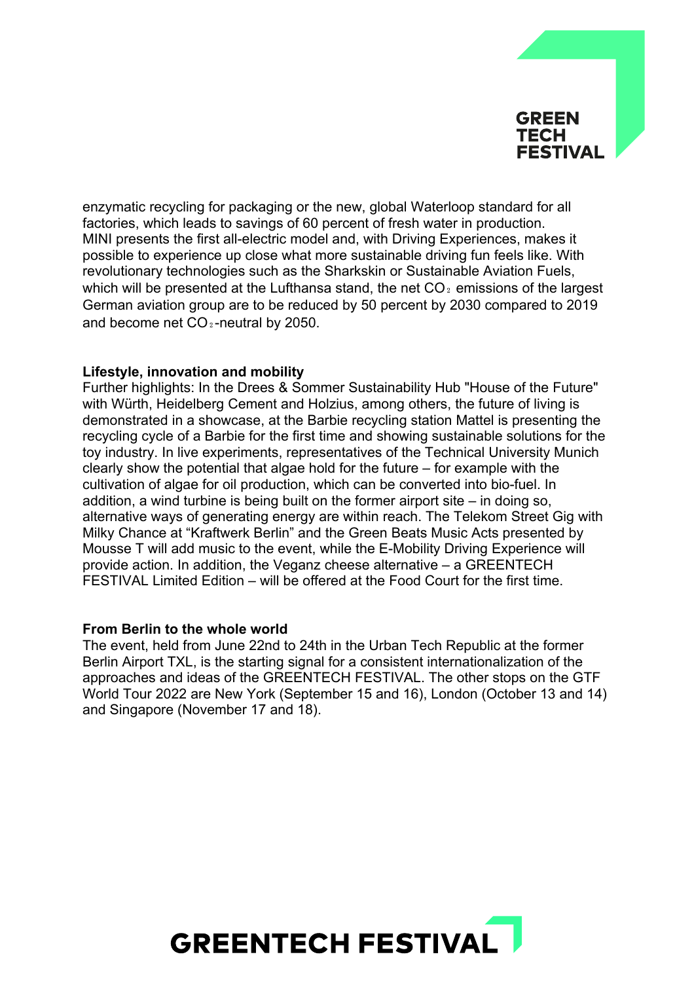

enzymatic recycling for packaging or the new, global Waterloop standard for all factories, which leads to savings of 60 percent of fresh water in production. MINI presents the first all-electric model and, with Driving Experiences, makes it possible to experience up close what more sustainable driving fun feels like. With revolutionary technologies such as the Sharkskin or Sustainable Aviation Fuels, which will be presented at the Lufthansa stand, the net  $CO<sub>2</sub>$  emissions of the largest German aviation group are to be reduced by 50 percent by 2030 compared to 2019 and become net  $CO_2$ -neutral by 2050.

## **Lifestyle, innovation and mobility**

Further highlights: In the Drees & Sommer Sustainability Hub "House of the Future" with Würth, Heidelberg Cement and Holzius, among others, the future of living is demonstrated in a showcase, at the Barbie recycling station Mattel is presenting the recycling cycle of a Barbie for the first time and showing sustainable solutions for the toy industry. In live experiments, representatives of the Technical University Munich clearly show the potential that algae hold for the future – for example with the cultivation of algae for oil production, which can be converted into bio-fuel. In addition, a wind turbine is being built on the former airport site – in doing so, alternative ways of generating energy are within reach. The Telekom Street Gig with Milky Chance at "Kraftwerk Berlin" and the Green Beats Music Acts presented by Mousse T will add music to the event, while the E-Mobility Driving Experience will provide action. In addition, the Veganz cheese alternative – a GREENTECH FESTIVAL Limited Edition – will be offered at the Food Court for the first time.

#### **From Berlin to the whole world**

The event, held from June 22nd to 24th in the Urban Tech Republic at the former Berlin Airport TXL, is the starting signal for a consistent internationalization of the approaches and ideas of the GREENTECH FESTIVAL. The other stops on the GTF World Tour 2022 are New York (September 15 and 16), London (October 13 and 14) and Singapore (November 17 and 18).